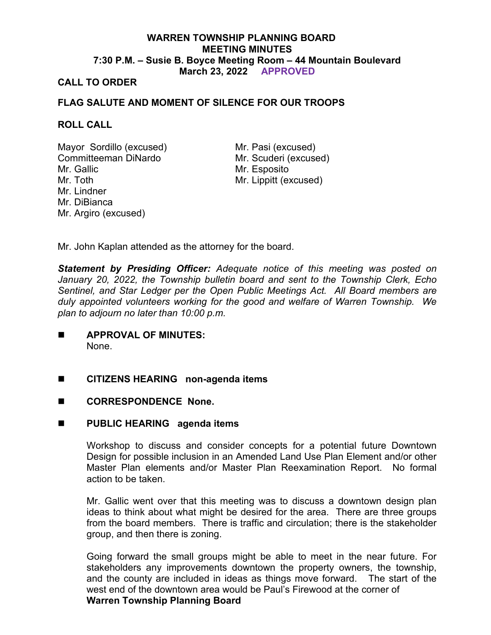# **WARREN TOWNSHIP PLANNING BOARD MEETING MINUTES 7:30 P.M. – Susie B. Boyce Meeting Room – 44 Mountain Boulevard March 23, 2022 APPROVED**

## **CALL TO ORDER**

## **FLAG SALUTE AND MOMENT OF SILENCE FOR OUR TROOPS**

## **ROLL CALL**

Mayor Sordillo (excused) Mr. Pasi (excused) Committeeman DiNardo Mr. Scuderi (excused) Mr. Gallic Mr. Toth Mr. Lindner Mr. DiBianca Mr. Argiro (excused)

Mr. Esposito Mr. Lippitt (excused)

Mr. John Kaplan attended as the attorney for the board.

*Statement by Presiding Officer: Adequate notice of this meeting was posted on January 20, 2022, the Township bulletin board and sent to the Township Clerk, Echo Sentinel, and Star Ledger per the Open Public Meetings Act. All Board members are duly appointed volunteers working for the good and welfare of Warren Township. We plan to adjourn no later than 10:00 p.m.*

- **APPROVAL OF MINUTES:** None.
- **CITIZENS HEARING non-agenda items**
- CORRESPONDENCE None.

## **PUBLIC HEARING agenda items**

Workshop to discuss and consider concepts for a potential future Downtown Design for possible inclusion in an Amended Land Use Plan Element and/or other Master Plan elements and/or Master Plan Reexamination Report. No formal action to be taken.

Mr. Gallic went over that this meeting was to discuss a downtown design plan ideas to think about what might be desired for the area. There are three groups from the board members. There is traffic and circulation; there is the stakeholder group, and then there is zoning.

Going forward the small groups might be able to meet in the near future. For stakeholders any improvements downtown the property owners, the township, and the county are included in ideas as things move forward. The start of the west end of the downtown area would be Paul's Firewood at the corner of **Warren Township Planning Board**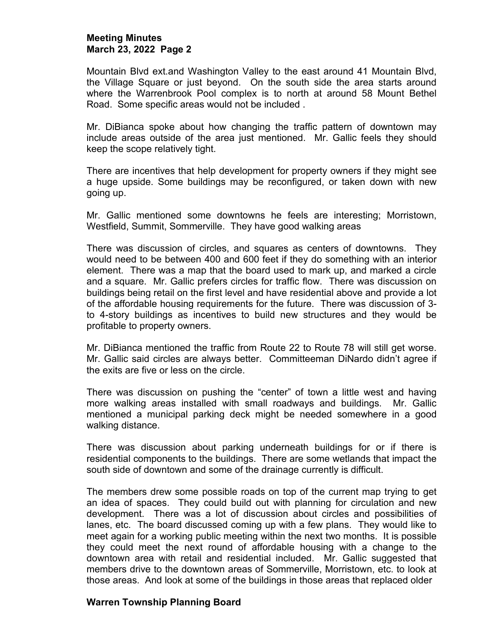#### **Meeting Minutes March 23, 2022 Page 2**

Mountain Blvd ext.and Washington Valley to the east around 41 Mountain Blvd, the Village Square or just beyond. On the south side the area starts around where the Warrenbrook Pool complex is to north at around 58 Mount Bethel Road. Some specific areas would not be included .

Mr. DiBianca spoke about how changing the traffic pattern of downtown may include areas outside of the area just mentioned. Mr. Gallic feels they should keep the scope relatively tight.

There are incentives that help development for property owners if they might see a huge upside. Some buildings may be reconfigured, or taken down with new going up.

Mr. Gallic mentioned some downtowns he feels are interesting; Morristown, Westfield, Summit, Sommerville. They have good walking areas

There was discussion of circles, and squares as centers of downtowns. They would need to be between 400 and 600 feet if they do something with an interior element. There was a map that the board used to mark up, and marked a circle and a square. Mr. Gallic prefers circles for traffic flow. There was discussion on buildings being retail on the first level and have residential above and provide a lot of the affordable housing requirements for the future. There was discussion of 3 to 4-story buildings as incentives to build new structures and they would be profitable to property owners.

Mr. DiBianca mentioned the traffic from Route 22 to Route 78 will still get worse. Mr. Gallic said circles are always better. Committeeman DiNardo didn't agree if the exits are five or less on the circle.

There was discussion on pushing the "center" of town a little west and having more walking areas installed with small roadways and buildings. Mr. Gallic mentioned a municipal parking deck might be needed somewhere in a good walking distance.

There was discussion about parking underneath buildings for or if there is residential components to the buildings. There are some wetlands that impact the south side of downtown and some of the drainage currently is difficult.

The members drew some possible roads on top of the current map trying to get an idea of spaces. They could build out with planning for circulation and new development. There was a lot of discussion about circles and possibilities of lanes, etc. The board discussed coming up with a few plans. They would like to meet again for a working public meeting within the next two months. It is possible they could meet the next round of affordable housing with a change to the downtown area with retail and residential included. Mr. Gallic suggested that members drive to the downtown areas of Sommerville, Morristown, etc. to look at those areas. And look at some of the buildings in those areas that replaced older

## **Warren Township Planning Board**